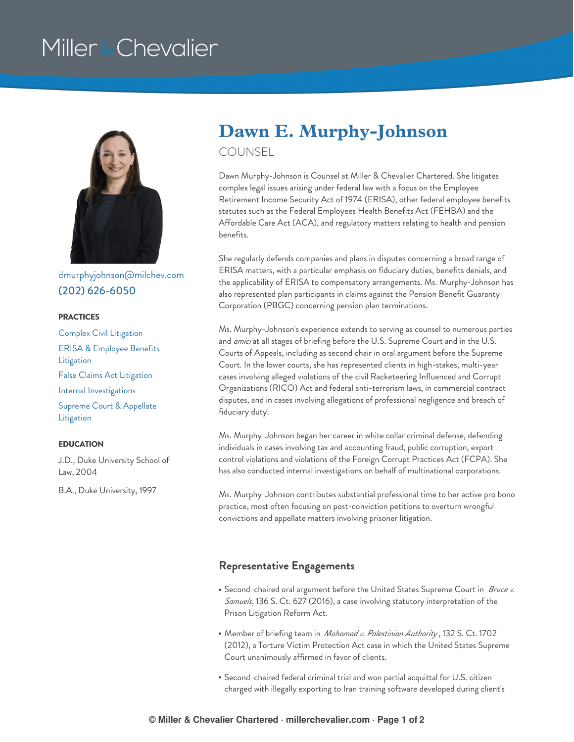# Miller & Chevalier



[dmurphyjohnson@milchev.com](mailto:dmurphyjohnson@milchev.com) (202) [626-6050](tel:202-626-6050)

#### **PRACTICES**

Complex Civil [Litigation](https://www.millerchevalier.com/practice-area/complex-civil-litigation) ERISA & [Employee](https://www.millerchevalier.com/practice-area/erisa-employee-benefits-litigation) Benefits **Litigation** False Claims Act [Litigation](https://www.millerchevalier.com/practice-area/false-claims-act-litigation) Internal [Investigations](https://www.millerchevalier.com/practice-area/internal-investigations) Supreme Court & [Appellate](https://www.millerchevalier.com/practice-area/supreme-court-appellate-litigation) **Litigation** 

#### **EDUCATION**

J.D., Duke University School of Law, 2004

B.A., Duke University, 1997

## **Dawn E. Murphy-Johnson**

COUNSEL

Dawn Murphy-Johnson is Counsel at Miller & Chevalier Chartered. She litigates complex legal issues arising under federal law with a focus on the Employee Retirement Income Security Act of 1974 (ERISA), other federal employee benefits statutes such as the Federal Employees Health Benefits Act (FEHBA) and the Affordable Care Act (ACA), and regulatory matters relating to health and pension benefits.

She regularly defends companies and plans in disputes concerning a broad range of ERISA matters, with a particular emphasis on fiduciary duties, benefits denials, and the applicability of ERISA to compensatory arrangements. Ms. Murphy-Johnson has also represented plan participants in claims against the Pension Benefit Guaranty Corporation (PBGC) concerning pension plan terminations.

Ms. Murphy-Johnson's experience extends to serving as counsel to numerous parties and *amici* at all stages of briefing before the U.S. Supreme Court and in the U.S. Courts of Appeals, including as second chair in oral argument before the Supreme Court. In the lower courts, she has represented clients in high-stakes, multi-year cases involving alleged violations of the civil Racketeering Influenced and Corrupt Organizations (RICO) Act and federal anti-terrorism laws, in commercial contract disputes, and in cases involving allegations of professional negligence and breach of fiduciary duty.

Ms. Murphy-Johnson began her career in white collar criminal defense, defending individuals in cases involving tax and accounting fraud, public corruption, export control violations and violations of the Foreign Corrupt Practices Act (FCPA). She has also conducted internal investigations on behalf of multinational corporations.

Ms. Murphy-Johnson contributes substantial professional time to her active pro bono practice, most often focusing on post-conviction petitions to overturn wrongful convictions and appellate matters involving prisoner litigation.

### **Representative Engagements**

- Second-chaired oral argument before the United States Supreme Court in *Bruce v. Samuels*, 136 S. Ct. 627 (2016), a case involving statutory interpretation of the Prison Litigation Reform Act.
- Member of briefing team in *Mohamad v. Palestinian Authority* , 132 S. Ct. 1702 (2012), a Torture Victim Protection Act case in which the United States Supreme Court unanimously affirmed in favor of clients.
- Second-chaired federal criminal trial and won partial acquittal for U.S. citizen charged with illegally exporting to Iran training software developed during client's